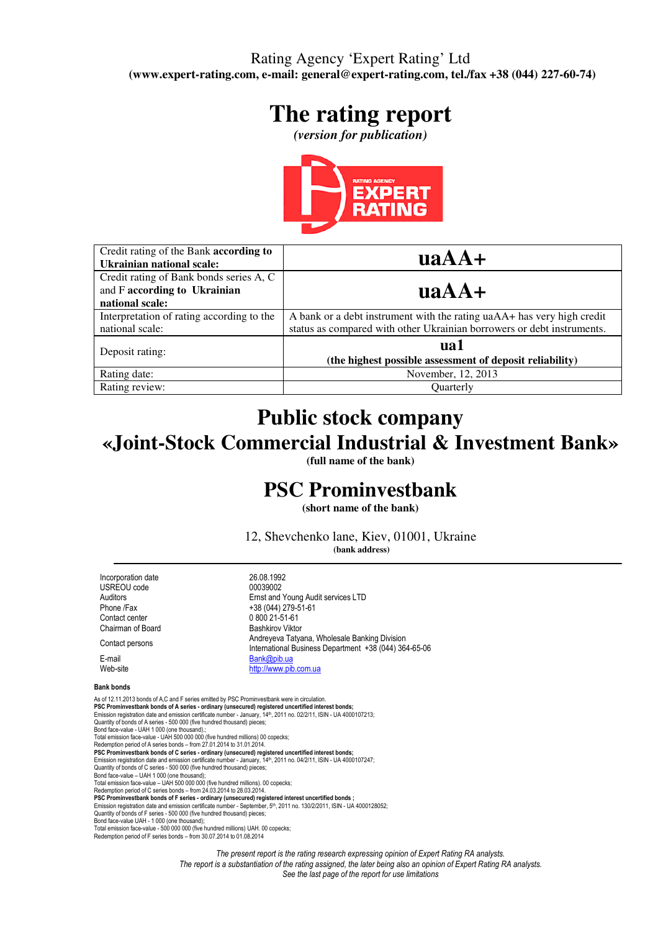## Rating Agency 'Expert Rating' Ltd **(www.expert-rating.com, e-mail: general@expert-rating.com, tel./fax +38 (044) 227-60-74)**

# **The rating report**

*(version for publication)*



| Credit rating of the Bank according to<br><b>Ukrainian national scale:</b>                 | $\mathbf{u}\mathbf{a}\mathbf{A}\mathbf{A} +$                                                                                                     |
|--------------------------------------------------------------------------------------------|--------------------------------------------------------------------------------------------------------------------------------------------------|
| Credit rating of Bank bonds series A, C<br>and F according to Ukrainian<br>national scale: | $\mathbf{u}\mathbf{a}\mathbf{A}\mathbf{A} +$                                                                                                     |
| Interpretation of rating according to the<br>national scale:                               | A bank or a debt instrument with the rating uaAA+ has very high credit<br>status as compared with other Ukrainian borrowers or debt instruments. |
| Deposit rating:                                                                            | ual<br>(the highest possible assessment of deposit reliability)                                                                                  |
| Rating date:                                                                               | November, 12, 2013                                                                                                                               |
| Rating review:                                                                             | <b>Ouarterly</b>                                                                                                                                 |

# **Public stock company «Joint-Stock Commercial Industrial & Investment Bank»**

**(full name of the bank)** 

# **PSC Prominvestbank**

**(short name of the bank)** 

12, Shevchenko lane, Kiev, 01001, Ukraine  **(bank address)** 

International Business Department +38 (044) 364-65-06

Incorporation date 26.08.1992<br>
USREOU code 00039002 USREOU code Auditors **Ernst and Young Audit services LTD**<br>
+38 (044) 279-51-61 Phone /Fax  $+38 (044) 279-51-61$ <br>Contact center 0 800 21-51-61 Chairman of Board Bashkirov Viktor Contact persons Andreyeva Tatyana, Wholesale Banking Division

E-mail Bank@pib.ua<br>Web-site<br>http://www.pib.ua

#### Bank bonds

As of 12.11.2013 bonds of A,C and F series emitted by PSC Prominvestbank were in circulation. PSC Prominvestbank bonds of A series - ordinary (unsecured) registered uncertified interest bonds;<br>Emission registration date and emission certificate number - January, 14th, 2011 no. 02/2/11, ISIN - UA 4000107213; Quantity of bonds of A series - 500 000 (five hundred thousand) pieces; Bond face-value - UAH 1 000 (one thousand).; Total emission face-value - UAH 500 000 000 (five hundred millions) 00 copecks; Redemption period of A series bonds – from 27.01.2014 to 31.01.2014. **PSC Prominvestbank bonds of C series - ordinary (unsecured) registered uncertified interest bonds;**<br>Emission registration date and emission certificate number - January, 14<sup>m</sup>, 2011 no. 04/2/11, ISIN - UA 4000107247;<br>Quan Bond face-value – UAH 1 000 (one thousand); Total emission face-value – UAH 500 000 000 (five hundred millions). 00 copecks; Redemption period of C series bonds – from 24.03.2014 to 28.03.2014. PSC Prominvestbank bonds of F series - ordinary (unsecured) registered interest uncertified bonds ;<br>Emission registration date and emission certificate number - September, 5<sup>th</sup>, 2011 no. 130/2/2011, ISIN - UA 4000128052 Emission registration date and emission certificate number - September, 5ʰ, 2011 no. 130/2/2011, ISIN - UA 4000128052;<br>Quantity of bonds of F series - 500 000 (five hundred thousand) pieces; Bond face-value UAH - 1 000 (one thousand); Total emission face-value - 500 000 000 (five hundred millions) UAH. 00 copecks; Redemption period of F series bonds – from 30.07.2014 to 01.08.2014

 $080021 - 51 - 61$ 

http://www.pib.com.ua

The present report is the rating research expressing opinion of Expert Rating RA analysts. The report is a substantiation of the rating assigned, the later being also an opinion of Expert Rating RA analysts. See the last page of the report for use limitations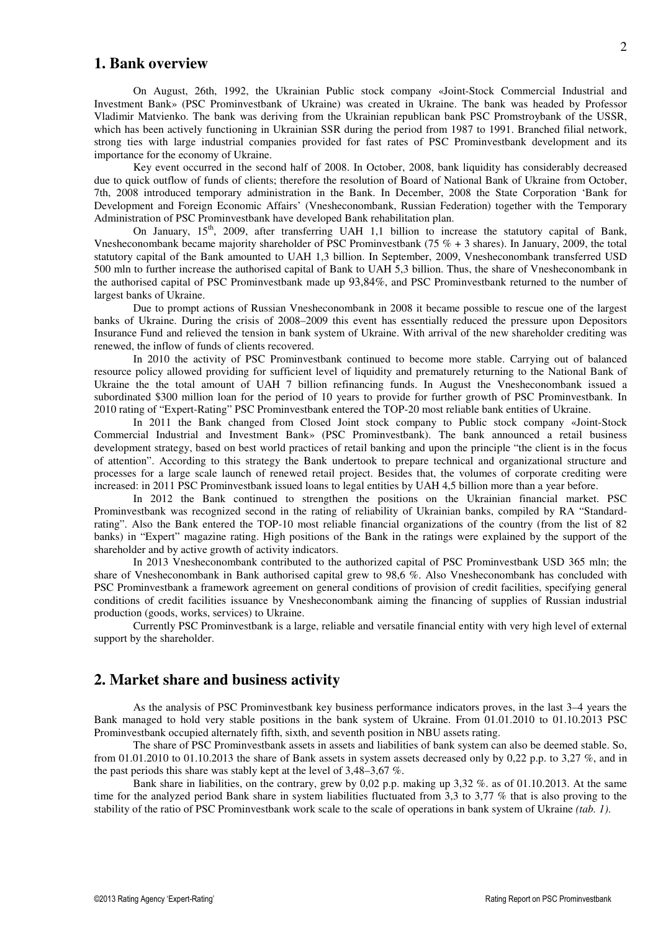#### **1. Bank overview**

On August, 26th, 1992, the Ukrainian Public stock company «Joint-Stock Commercial Industrial and Investment Bank» (PSC Prominvestbank of Ukraine) was created in Ukraine. The bank was headed by Professor Vladimir Matvienko. The bank was deriving from the Ukrainian republican bank PSC Promstroybank of the USSR, which has been actively functioning in Ukrainian SSR during the period from 1987 to 1991. Branched filial network, strong ties with large industrial companies provided for fast rates of PSC Prominvestbank development and its importance for the economy of Ukraine.

Key event occurred in the second half of 2008. In October, 2008, bank liquidity has considerably decreased due to quick outflow of funds of clients; therefore the resolution of Board of National Bank of Ukraine from October, 7th, 2008 introduced temporary administration in the Bank. In December, 2008 the State Corporation 'Bank for Development and Foreign Economic Affairs' (Vnesheconombank, Russian Federation) together with the Temporary Administration of PSC Prominvestbank have developed Bank rehabilitation plan.

On January, 15<sup>th</sup>, 2009, after transferring UAH 1,1 billion to increase the statutory capital of Bank, Vnesheconombank became majority shareholder of PSC Prominvestbank (75  $% + 3$  shares). In January, 2009, the total statutory capital of the Bank amounted to UAH 1,3 billion. In September, 2009, Vnesheconombank transferred USD 500 mln to further increase the authorised capital of Bank to UAH 5,3 billion. Thus, the share of Vnesheconombank in the authorised capital of PSC Prominvestbank made up 93,84%, and PSC Prominvestbank returned to the number of largest banks of Ukraine.

Due to prompt actions of Russian Vnesheconombank in 2008 it became possible to rescue one of the largest banks of Ukraine. During the crisis of 2008–2009 this event has essentially reduced the pressure upon Depositors Insurance Fund and relieved the tension in bank system of Ukraine. With arrival of the new shareholder crediting was renewed, the inflow of funds of clients recovered.

In 2010 the activity of PSC Prominvestbank continued to become more stable. Carrying out of balanced resource policy allowed providing for sufficient level of liquidity and prematurely returning to the National Bank of Ukraine the the total amount of UAH 7 billion refinancing funds. In August the Vnesheconombank issued a subordinated \$300 million loan for the period of 10 years to provide for further growth of PSC Prominvestbank. In 2010 rating of "Expert-Rating" PSC Prominvestbank entered the TOP-20 most reliable bank entities of Ukraine.

In 2011 the Bank changed from Closed Joint stock company to Public stock company «Joint-Stock Commercial Industrial and Investment Bank» (PSC Prominvestbank). The bank announced a retail business development strategy, based on best world practices of retail banking and upon the principle "the client is in the focus of attention". According to this strategy the Bank undertook to prepare technical and organizational structure and processes for a large scale launch of renewed retail project. Besides that, the volumes of corporate crediting were increased: in 2011 PSC Prominvestbank issued loans to legal entities by UAH 4,5 billion more than a year before.

In 2012 the Bank continued to strengthen the positions on the Ukrainian financial market. PSC Prominvestbank was recognized second in the rating of reliability of Ukrainian banks, compiled by RA "Standardrating". Also the Bank entered the TOP-10 most reliable financial organizations of the country (from the list of 82 banks) in "Expert" magazine rating. High positions of the Bank in the ratings were explained by the support of the shareholder and by active growth of activity indicators.

In 2013 Vnesheconombank contributed to the authorized capital of PSC Prominvestbank USD 365 mln; the share of Vnesheconombank in Bank authorised capital grew to 98,6 %. Also Vnesheconombank has concluded with PSC Prominvestbank a framework agreement on general conditions of provision of credit facilities, specifying general conditions of credit facilities issuance by Vnesheconombank aiming the financing of supplies of Russian industrial production (goods, works, services) to Ukraine.

Currently PSC Prominvestbank is a large, reliable and versatile financial entity with very high level of external support by the shareholder.

### **2. Market share and business activity**

As the analysis of PSC Prominvestbank key business performance indicators proves, in the last 3–4 years the Bank managed to hold very stable positions in the bank system of Ukraine. From 01.01.2010 to 01.10.2013 PSC Prominvestbank occupied alternately fifth, sixth, and seventh position in NBU assets rating.

The share of PSC Prominvestbank assets in assets and liabilities of bank system can also be deemed stable. So, from 01.01.2010 to 01.10.2013 the share of Bank assets in system assets decreased only by 0.22 p.p. to 3.27  $\%$ , and in the past periods this share was stably kept at the level of 3,48–3,67 %.

Bank share in liabilities, on the contrary, grew by 0,02 p.p. making up 3,32 %. as of 01.10.2013. At the same time for the analyzed period Bank share in system liabilities fluctuated from 3,3 to 3,77 % that is also proving to the stability of the ratio of PSC Prominvestbank work scale to the scale of operations in bank system of Ukraine *(tab. 1)*.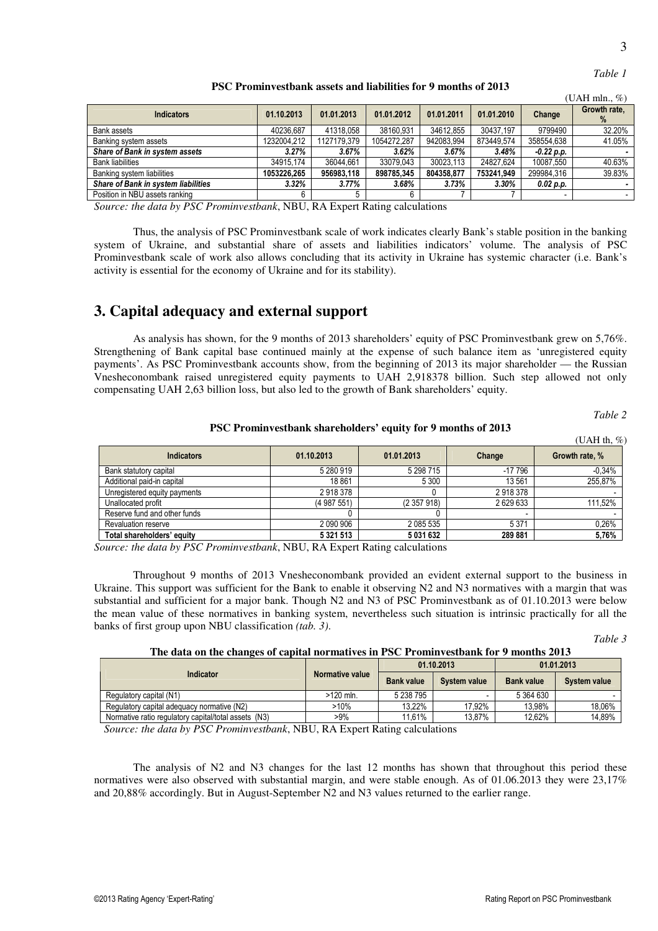| ٠<br>I<br>×<br>۹<br>×<br>v |
|----------------------------|
|                            |

| able |
|------|
|------|

**PSC Prominvestbank assets and liabilities for 9 months of 2013** 

|                                     |                  |             | т остан години соворители изменя интернетивности и политика от 2012 |            |            |              |                      |  |  |  |
|-------------------------------------|------------------|-------------|---------------------------------------------------------------------|------------|------------|--------------|----------------------|--|--|--|
|                                     | (UAH mln., $%$ ) |             |                                                                     |            |            |              |                      |  |  |  |
| <b>Indicators</b>                   | 01.10.2013       | 01.01.2013  | 01.01.2012                                                          | 01.01.2011 | 01.01.2010 | Change       | Growth rate.<br>$\%$ |  |  |  |
| Bank assets                         | 40236.687        | 41318.058   | 38160.931                                                           | 34612.855  | 30437.197  | 9799490      | 32.20%               |  |  |  |
| Banking system assets               | 1232004.212      | 1127179.379 | 1054272.287                                                         | 942083.994 | 873449.574 | 358554,638   | 41.05%               |  |  |  |
| Share of Bank in system assets      | 3.27%            | $3.67\%$    | 3.62%                                                               | 3.67%      | 3.48%      | $-0.22 p.p.$ |                      |  |  |  |
| <b>Bank liabilities</b>             | 34915.174        | 36044.661   | 33079.043                                                           | 30023.113  | 24827.624  | 10087.550    | 40.63%               |  |  |  |
| Banking system liabilities          | 1053226.265      | 956983.118  | 898785.345                                                          | 804358.877 | 753241.949 | 299984.316   | 39.83%               |  |  |  |
| Share of Bank in system liabilities | 3.32%            | 3.77%       | 3.68%                                                               | 3.73%      | 3.30%      | 0.02 p.p.    |                      |  |  |  |
| Position in NBU assets ranking      |                  |             |                                                                     |            |            |              |                      |  |  |  |

*Source: the data by PSC Prominvestbank*, NBU, RA Expert Rating calculations

Thus, the analysis of PSC Prominvestbank scale of work indicates clearly Bank's stable position in the banking system of Ukraine, and substantial share of assets and liabilities indicators' volume. The analysis of PSC Prominvestbank scale of work also allows concluding that its activity in Ukraine has systemic character (i.e. Bank's activity is essential for the economy of Ukraine and for its stability).

## **3. Capital adequacy and external support**

As analysis has shown, for the 9 months of 2013 shareholders' equity of PSC Prominvestbank grew on 5,76%. Strengthening of Bank capital base continued mainly at the expense of such balance item as 'unregistered equity payments'. As PSC Prominvestbank accounts show, from the beginning of 2013 its major shareholder — the Russian Vnesheconombank raised unregistered equity payments to UAH 2,918378 billion. Such step allowed not only compensating UAH 2,63 billion loss, but also led to the growth of Bank shareholders' equity.

*Table 2* 

**PSC Prominvestbank shareholders' equity for 9 months of 2013** 

|                              |               |            |           | (UAH th, $%$ ) |
|------------------------------|---------------|------------|-----------|----------------|
| <b>Indicators</b>            | 01.10.2013    | 01.01.2013 | Change    | Growth rate, % |
| Bank statutory capital       | 5 280 919     | 5 298 715  | $-17796$  | $-0.34%$       |
| Additional paid-in capital   | 18861         | 5 3 0 0    | 13 561    | 255.87%        |
| Unregistered equity payments | 2918378       |            | 2918378   |                |
| Unallocated profit           | (4 987 551)   | (2357918)  | 2 629 633 | 111,52%        |
| Reserve fund and other funds |               |            |           |                |
| Revaluation reserve          | 2 090 906     | 2 085 535  | 5 3 7 1   | 0,26%          |
| Total shareholders' equity   | 5 3 2 1 5 1 3 | 5 031 632  | 289 881   | 5,76%          |

*Source: the data by PSC Prominvestbank*, NBU, RA Expert Rating calculations

Throughout 9 months of 2013 Vnesheconombank provided an evident external support to the business in Ukraine. This support was sufficient for the Bank to enable it observing N2 and N3 normatives with a margin that was substantial and sufficient for a major bank. Though N2 and N3 of PSC Prominvestbank as of 01.10.2013 were below the mean value of these normatives in banking system, nevertheless such situation is intrinsic practically for all the banks of first group upon NBU classification *(tab. 3)*.

*Table 3* 

#### **The data on the changes of capital normatives in PS**С **Prominvestbank for 9 months 2013**

|                                                      |                 |                   | 01.10.2013   | 01.01.2013        |              |  |
|------------------------------------------------------|-----------------|-------------------|--------------|-------------------|--------------|--|
| Indicator                                            | Normative value | <b>Bank value</b> | System value | <b>Bank value</b> | System value |  |
| Regulatory capital (N1)                              | $>120$ mln.     | 5 238 795         |              | 5 364 630         |              |  |
| Regulatory capital adequacy normative (N2)           | >10%            | 13.22%            | 17.92%       | 13.98%            | 18,06%       |  |
| Normative ratio regulatory capital/total assets (N3) | >9%             | 11,61%            | 13.87%       | 12.62%            | 14,89%       |  |

*Source: the data by PSC Prominvestbank*, NBU, RA Expert Rating calculations

The analysis of N2 and N3 changes for the last 12 months has shown that throughout this period these normatives were also observed with substantial margin, and were stable enough. As of 01.06.2013 they were 23,17% and 20,88% accordingly. But in August-September N2 and N3 values returned to the earlier range.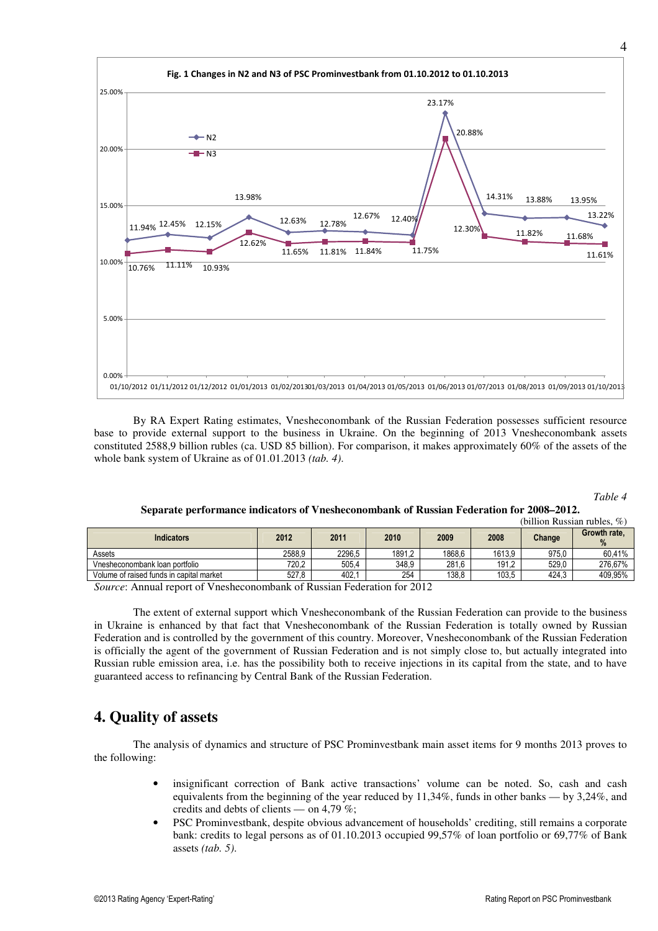

By RA Expert Rating estimates, Vnesheconombank of the Russian Federation possesses sufficient resource base to provide external support to the business in Ukraine. On the beginning of 2013 Vnesheconombank assets constituted 2588,9 billion rubles (ca. USD 85 billion). For comparison, it makes approximately 60% of the assets of the whole bank system of Ukraine as of 01.01.2013 *(tab. 4)*.

*Table 4* 

#### **Separate performance indicators of Vnesheconombank of Russian Federation for 2008–2012.**

|        |        |                      |        |        |        | (billion Russian rubles, $\%$ ) |
|--------|--------|----------------------|--------|--------|--------|---------------------------------|
| 2012   | 2011   | 2010                 | 2009   | 2008   | Change | Growth rate,<br>%               |
| 2588,9 | 2296.5 | 1891.2               | 1868.6 | 1613.9 | 975.0  | 60.41%                          |
| 720.2  | 505.4  | 348.9                | 281.6  | 191.2  | 529.0  | 276.67%                         |
| 527,8  | 402.7  | 254                  | 138,8  | 103.5  | 424.3  | 409,95%                         |
|        |        | $\sim$ $\sim$<br>- - | $\sim$ | $  -$  |        |                                 |

*Source*: Annual report of Vnesheconombank of Russian Federation for 2012

The extent of external support which Vnesheconombank of the Russian Federation can provide to the business in Ukraine is enhanced by that fact that Vnesheconombank of the Russian Federation is totally owned by Russian Federation and is controlled by the government of this country. Moreover, Vnesheconombank of the Russian Federation is officially the agent of the government of Russian Federation and is not simply close to, but actually integrated into Russian ruble emission area, i.e. has the possibility both to receive injections in its capital from the state, and to have guaranteed access to refinancing by Central Bank of the Russian Federation.

## **4. Quality of assets**

The analysis of dynamics and structure of PSC Prominvestbank main asset items for 9 months 2013 proves to the following:

- insignificant correction of Bank active transactions' volume can be noted. So, cash and cash equivalents from the beginning of the year reduced by 11,34%, funds in other banks — by 3,24%, and credits and debts of clients — on 4,79 %;
- PSC Prominvestbank, despite obvious advancement of households' crediting, still remains a corporate bank: credits to legal persons as of 01.10.2013 occupied 99,57% of loan portfolio or 69,77% of Bank assets *(tab. 5)*.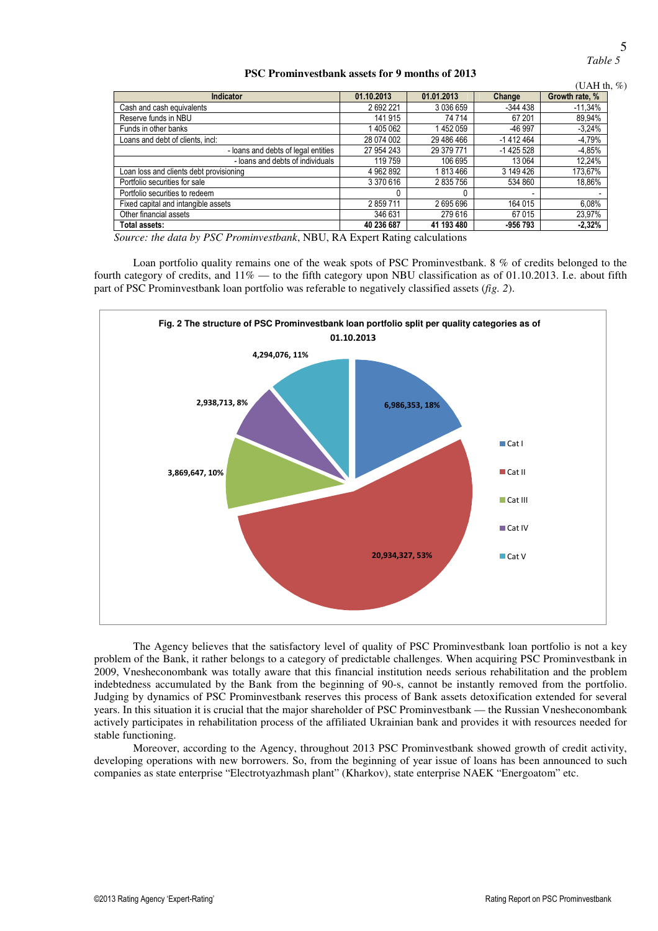*Table 5* 

#### **PSC Prominvestbank assets for 9 months of 2013**

|                                         |            |            |              | (UAH th, $%$ ) |
|-----------------------------------------|------------|------------|--------------|----------------|
| Indicator                               | 01.10.2013 | 01.01.2013 | Change       | Growth rate, % |
| Cash and cash equivalents               | 2692221    | 3 036 659  | $-344438$    | $-11,34\%$     |
| Reserve funds in NBU                    | 141 915    | 74 714     | 67 201       | 89,94%         |
| Funds in other banks                    | 1405062    | 1452059    | -46 997      | $-3,24%$       |
| Loans and debt of clients, incl:        | 28 074 002 | 29 486 466 | $-1412464$   | $-4,79%$       |
| - loans and debts of legal entities     | 27 954 243 | 29 379 771 | $-1$ 425 528 | $-4.85%$       |
| - loans and debts of individuals        | 119 759    | 106 695    | 13 0 64      | 12,24%         |
| Loan loss and clients debt provisioning | 4 962 892  | 1813466    | 3 149 426    | 173,67%        |
| Portfolio securities for sale           | 3 370 616  | 2835756    | 534 860      | 18,86%         |
| Portfolio securities to redeem          | 0          |            |              |                |
| Fixed capital and intangible assets     | 2859711    | 2695696    | 164 015      | 6,08%          |
| Other financial assets                  | 346 631    | 279 616    | 67015        | 23,97%         |
| Total assets:                           | 40 236 687 | 41 193 480 | -956 793     | $-2,32%$       |

*Source: the data by PSC Prominvestbank*, NBU, RA Expert Rating calculations

Loan portfolio quality remains one of the weak spots of PSC Prominvestbank. 8 % of credits belonged to the fourth category of credits, and  $11\%$  — to the fifth category upon NBU classification as of 01.10.2013. I.e. about fifth part of PSC Prominvestbank loan portfolio was referable to negatively classified assets (*fig. 2*).



The Agency believes that the satisfactory level of quality of PSC Prominvestbank loan portfolio is not a key problem of the Bank, it rather belongs to a category of predictable challenges. When acquiring PSC Prominvestbank in 2009, Vnesheconombank was totally aware that this financial institution needs serious rehabilitation and the problem indebtedness accumulated by the Bank from the beginning of 90-s, cannot be instantly removed from the portfolio. Judging by dynamics of PSC Prominvestbank reserves this process of Bank assets detoxification extended for several years. In this situation it is crucial that the major shareholder of PSC Prominvestbank — the Russian Vnesheconombank actively participates in rehabilitation process of the affiliated Ukrainian bank and provides it with resources needed for stable functioning.

Moreover, according to the Agency, throughout 2013 PSC Prominvestbank showed growth of credit activity, developing operations with new borrowers. So, from the beginning of year issue of loans has been announced to such companies as state enterprise "Electrotyazhmash plant" (Kharkov), state enterprise NAEK "Energoatom" etc.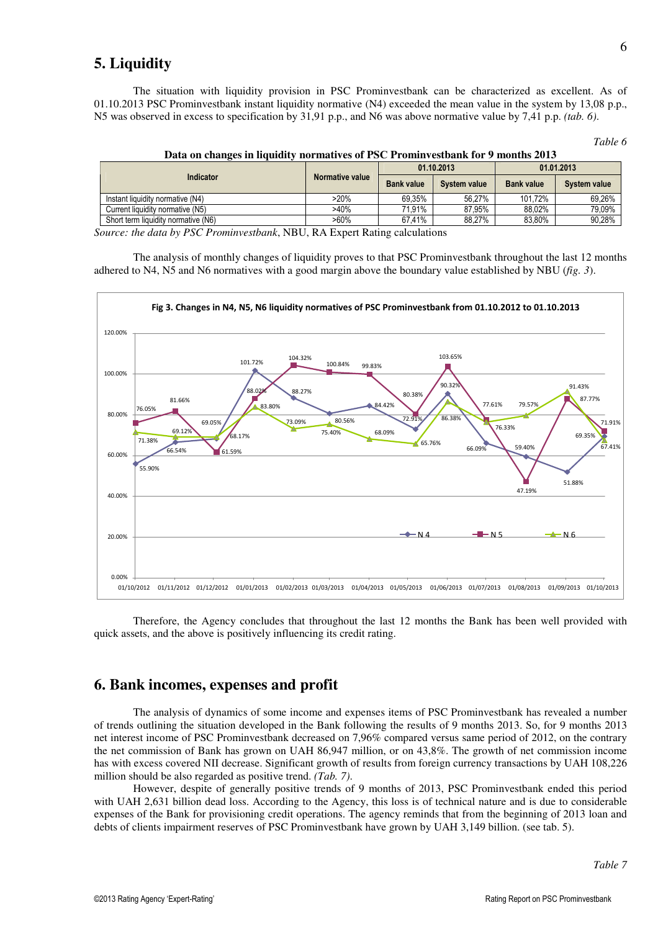## **5. Liquidity**

The situation with liquidity provision in PSC Prominvestbank can be characterized as excellent. As of 01.10.2013 PSC Prominvestbank instant liquidity normative (N4) exceeded the mean value in the system by 13,08 p.p., N5 was observed in excess to specification by 31,91 p.p., and N6 was above normative value by 7,41 p.p. *(tab. 6)*.

| unu |  |
|-----|--|
|-----|--|

|                                     |                 |                   | 01.10.2013   | 01.01.2013        |              |  |
|-------------------------------------|-----------------|-------------------|--------------|-------------------|--------------|--|
| Indicator                           | Normative value | <b>Bank value</b> | System value | <b>Bank value</b> | System value |  |
| Instant liquidity normative (N4)    | >20%            | 69.35%            | 56.27%       | 101.72%           | 69,26%       |  |
| Current liquidity normative (N5)    | >40%            | 71.91%            | 87,95%       | 88.02%            | 79,09%       |  |
| Short term liquidity normative (N6) | $>60\%$         | 67.41%            | 88,27%       | 83.80%            | 90,28%       |  |

|  |  | Data on changes in liquidity normatives of PSC Prominvestbank for 9 months 2013 |  |
|--|--|---------------------------------------------------------------------------------|--|
|  |  |                                                                                 |  |

*Source: the data by PSC Prominvestbank*, NBU, RA Expert Rating calculations

The analysis of monthly changes of liquidity proves to that PSC Prominvestbank throughout the last 12 months adhered to N4, N5 and N6 normatives with a good margin above the boundary value established by NBU (*fig. 3*).



Therefore, the Agency concludes that throughout the last 12 months the Bank has been well provided with quick assets, and the above is positively influencing its credit rating.

## **6. Bank incomes, expenses and profit**

The analysis of dynamics of some income and expenses items of PSC Prominvestbank has revealed a number of trends outlining the situation developed in the Bank following the results of 9 months 2013. So, for 9 months 2013 net interest income of PSC Prominvestbank decreased on 7,96% compared versus same period of 2012, on the contrary the net commission of Bank has grown on UAH 86,947 million, or on 43,8%. The growth of net commission income has with excess covered NII decrease. Significant growth of results from foreign currency transactions by UAH 108,226 million should be also regarded as positive trend. *(Tab. 7)*.

However, despite of generally positive trends of 9 months of 2013, PSC Prominvestbank ended this period with UAH 2,631 billion dead loss. According to the Agency, this loss is of technical nature and is due to considerable expenses of the Bank for provisioning credit operations. The agency reminds that from the beginning of 2013 loan and debts of clients impairment reserves of PSC Prominvestbank have grown by UAH 3,149 billion. (see tab. 5).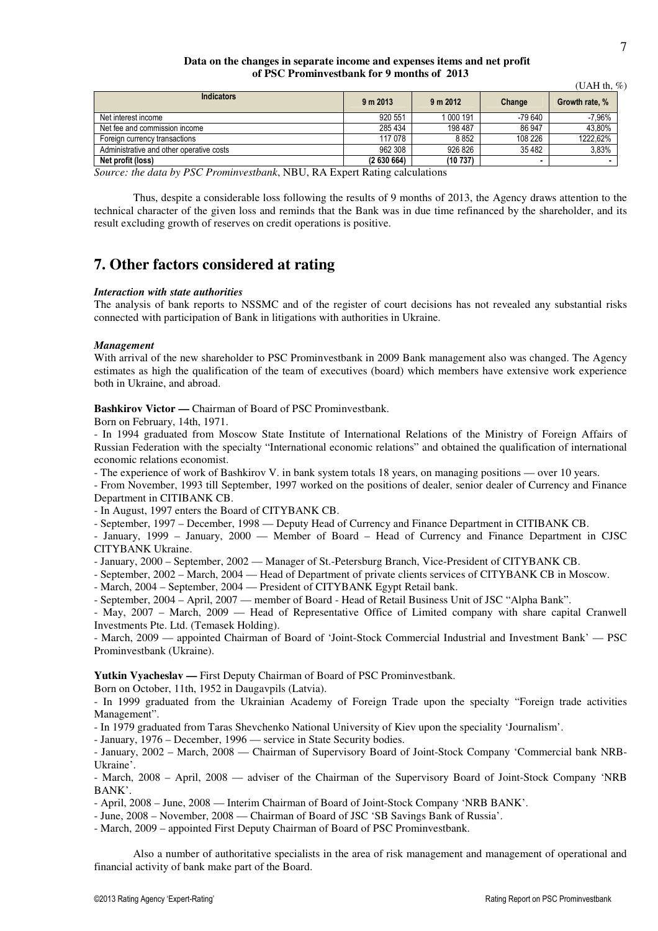#### **Data on the changes in separate income and expenses items and net profit of PSC Prominvestbank for 9 months of 2013**

|                                          |           |           |         | (UAH th, $\%$ ) |
|------------------------------------------|-----------|-----------|---------|-----------------|
| <b>Indicators</b>                        | 9 m 2013  | 9 m 2012  | Change  | Growth rate, %  |
| Net interest income                      | 920 551   | 1 000 191 | -79 640 | $-7.96%$        |
| Net fee and commission income            | 285 434   | 198 487   | 86 947  | 43.80%          |
| Foreign currency transactions            | 117 078   | 8852      | 108 226 | 1222.62%        |
| Administrative and other operative costs | 962 308   | 926 826   | 35482   | 3.83%           |
| Net profit (loss)                        | (2630664) | (10737)   |         | $\blacksquare$  |

*Source: the data by PSC Prominvestbank*, NBU, RA Expert Rating calculations

Thus, despite a considerable loss following the results of 9 months of 2013, the Agency draws attention to the technical character of the given loss and reminds that the Bank was in due time refinanced by the shareholder, and its result excluding growth of reserves on credit operations is positive.

## **7. Other factors considered at rating**

#### *Interaction with state authorities*

The analysis of bank reports to NSSMC and of the register of court decisions has not revealed any substantial risks connected with participation of Bank in litigations with authorities in Ukraine.

#### *Management*

With arrival of the new shareholder to PSC Prominvestbank in 2009 Bank management also was changed. The Agency estimates as high the qualification of the team of executives (board) which members have extensive work experience both in Ukraine, and abroad.

**Bashkirov Victor — Chairman of Board of PSC Prominvestbank.** 

Born on February, 14th, 1971.

- In 1994 graduated from Moscow State Institute of International Relations of the Ministry of Foreign Affairs of Russian Federation with the specialty "International economic relations" and obtained the qualification of international economic relations economist.

- The experience of work of Bashkirov V. in bank system totals 18 years, on managing positions — over 10 years.

- From November, 1993 till September, 1997 worked on the positions of dealer, senior dealer of Currency and Finance Department in CITIBANK CB.

- In August, 1997 enters the Board of CITYBANK CB.

- September, 1997 – December, 1998 — Deputy Head of Currency and Finance Department in CITIBANK CB.

- January, 1999 – January, 2000 — Member of Board – Head of Currency and Finance Department in CJSC CITYBANK Ukraine.

- January, 2000 – September, 2002 — Manager of St.-Petersburg Branch, Vice-President of CITYBANK CB.

- September, 2002 – March, 2004 — Head of Department of private clients services of CITYBANK CB in Moscow.

- March, 2004 – September, 2004 — President of CITYBANK Egypt Retail bank.

- September, 2004 – April, 2007 — member of Board - Head of Retail Business Unit of JSC "Alpha Bank".

- May, 2007 – March, 2009 — Head of Representative Office of Limited company with share capital Cranwell Investments Pte. Ltd. (Temasek Holding).

- March, 2009 — appointed Chairman of Board of 'Joint-Stock Commercial Industrial and Investment Bank' — PSC Prominvestbank (Ukraine).

**Yutkin Vyacheslav —** First Deputy Chairman of Board of PSC Prominvestbank.

Born on October, 11th, 1952 in Daugavpils (Latvia).

- In 1999 graduated from the Ukrainian Academy of Foreign Trade upon the specialty "Foreign trade activities Management".

- In 1979 graduated from Taras Shevchenko National University of Kiev upon the speciality 'Journalism'.

- January, 1976 – December, 1996 — service in State Security bodies.

- January, 2002 – March, 2008 — Chairman of Supervisory Board of Joint-Stock Company 'Commercial bank NRB-Ukraine'.

- March, 2008 – April, 2008 — adviser of the Chairman of the Supervisory Board of Joint-Stock Company 'NRB BANK'.

- April, 2008 – June, 2008 — Interim Chairman of Board of Joint-Stock Company 'NRB BANK'.

- June, 2008 – November, 2008 — Chairman of Board of JSC 'SB Savings Bank of Russia'.

- March, 2009 – appointed First Deputy Chairman of Board of PSC Prominvestbank.

Also a number of authoritative specialists in the area of risk management and management of operational and financial activity of bank make part of the Board.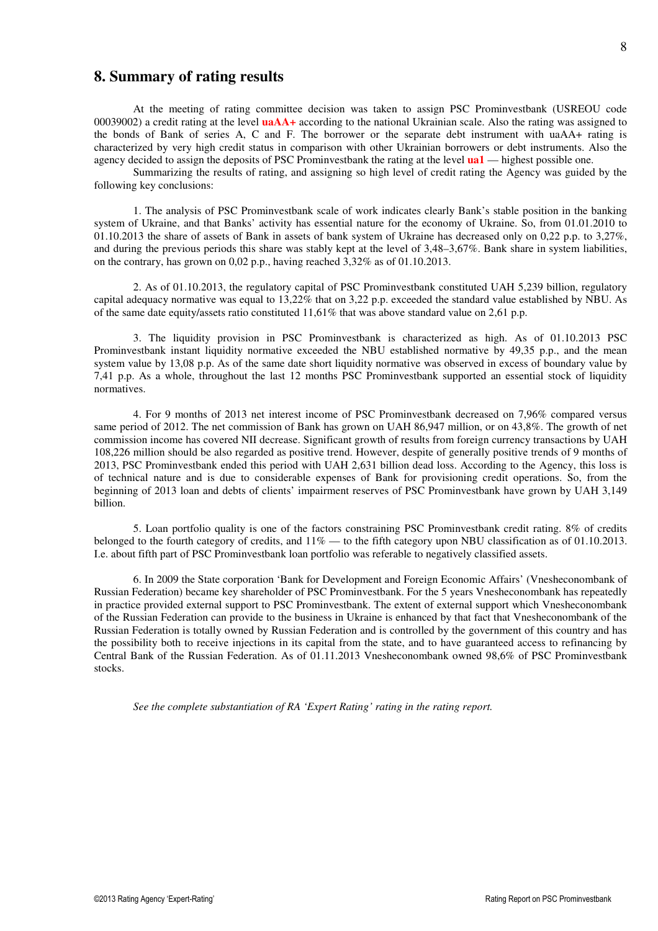### **8. Summary of rating results**

At the meeting of rating committee decision was taken to assign PSC Prominvestbank (USREOU code 00039002) a credit rating at the level **uaAA+** according to the national Ukrainian scale. Also the rating was assigned to the bonds of Bank of series A, C and F. The borrower or the separate debt instrument with uaAA+ rating is characterized by very high credit status in comparison with other Ukrainian borrowers or debt instruments. Also the agency decided to assign the deposits of PSC Prominvestbank the rating at the level **ua1** — highest possible one.

Summarizing the results of rating, and assigning so high level of credit rating the Agency was guided by the following key conclusions:

1. The analysis of PSC Prominvestbank scale of work indicates clearly Bank's stable position in the banking system of Ukraine, and that Banks' activity has essential nature for the economy of Ukraine. So, from 01.01.2010 to 01.10.2013 the share of assets of Bank in assets of bank system of Ukraine has decreased only on 0,22 p.p. to 3,27%, and during the previous periods this share was stably kept at the level of 3,48–3,67%. Bank share in system liabilities, on the contrary, has grown on  $0.02$  p.p., having reached  $3.32\%$  as of  $01.10.2013$ .

2. As of 01.10.2013, the regulatory capital of PSC Prominvestbank constituted UAH 5,239 billion, regulatory capital adequacy normative was equal to 13,22% that on 3,22 p.p. exceeded the standard value established by NBU. As of the same date equity/assets ratio constituted 11,61% that was above standard value on 2,61 p.p.

3. The liquidity provision in PSC Prominvestbank is characterized as high. As of 01.10.2013 PSC Prominvestbank instant liquidity normative exceeded the NBU established normative by 49,35 p.p., and the mean system value by 13,08 p.p. As of the same date short liquidity normative was observed in excess of boundary value by 7,41 p.p. As a whole, throughout the last 12 months PSC Prominvestbank supported an essential stock of liquidity normatives.

4. For 9 months of 2013 net interest income of PSC Prominvestbank decreased on 7,96% compared versus same period of 2012. The net commission of Bank has grown on UAH 86,947 million, or on 43,8%. The growth of net commission income has covered NII decrease. Significant growth of results from foreign currency transactions by UAH 108,226 million should be also regarded as positive trend. However, despite of generally positive trends of 9 months of 2013, PSC Prominvestbank ended this period with UAH 2,631 billion dead loss. According to the Agency, this loss is of technical nature and is due to considerable expenses of Bank for provisioning credit operations. So, from the beginning of 2013 loan and debts of clients' impairment reserves of PSC Prominvestbank have grown by UAH 3,149 billion.

5. Loan portfolio quality is one of the factors constraining PSC Prominvestbank credit rating. 8% of credits belonged to the fourth category of credits, and 11% — to the fifth category upon NBU classification as of 01.10.2013. I.e. about fifth part of PSC Prominvestbank loan portfolio was referable to negatively classified assets.

6. In 2009 the State corporation 'Bank for Development and Foreign Economic Affairs' (Vnesheconombank of Russian Federation) became key shareholder of PSC Prominvestbank. For the 5 years Vnesheconombank has repeatedly in practice provided external support to PSC Prominvestbank. The extent of external support which Vnesheconombank of the Russian Federation can provide to the business in Ukraine is enhanced by that fact that Vnesheconombank of the Russian Federation is totally owned by Russian Federation and is controlled by the government of this country and has the possibility both to receive injections in its capital from the state, and to have guaranteed access to refinancing by Central Bank of the Russian Federation. As of 01.11.2013 Vnesheconombank owned 98,6% of PSC Prominvestbank stocks.

*See the complete substantiation of RA 'Expert Rating' rating in the rating report.*